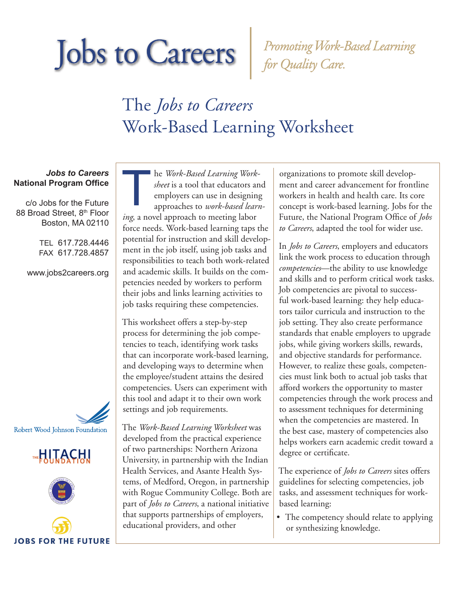Promoting Work-Based Learning<br>for Quality Care.

### The *Jobs to Careers*  Work-Based Learning Worksheet

### *Jobs to Careers* **National Program Office**

c/o Jobs for the Future 88 Broad Street, 8th Floor Boston, MA 02110

> TEL 617.728.4446 FAX 617.728.4857

www.jobs2careers.org









he *Work-Based Learning Worksheet* is a tool that educators and employers can use in designing approaches to *work-based learning*, a novel approach to meeting labor force needs. Work-based learning taps the potential for instruction and skill development in the job itself, using job tasks and responsibilities to teach both work-related and academic skills. It builds on the competencies needed by workers to perform their jobs and links learning activities to job tasks requiring these competencies.  $\begin{array}{c}\n\hline\n\end{array}$ 

This worksheet offers a step-by-step process for determining the job competencies to teach, identifying work tasks that can incorporate work-based learning, and developing ways to determine when the employee/student attains the desired competencies. Users can experiment with this tool and adapt it to their own work settings and job requirements.

The *Work-Based Learning Worksheet* was developed from the practical experience of two partnerships: Northern Arizona University, in partnership with the Indian Health Services, and Asante Health Systems, of Medford, Oregon, in partnership with Rogue Community College. Both are part of *Jobs to Careers*, a national initiative that supports partnerships of employers, educational providers, and other

organizations to promote skill development and career advancement for frontline workers in health and health care. Its core concept is work-based learning. Jobs for the Future, the National Program Office of *Jobs to Careers*, adapted the tool for wider use.

In *Jobs to Careers*, employers and educators link the work process to education through *competencies*—the ability to use knowledge and skills and to perform critical work tasks. Job competencies are pivotal to successful work-based learning: they help educators tailor curricula and instruction to the job setting. They also create performance standards that enable employers to upgrade jobs, while giving workers skills, rewards, and objective standards for performance. However, to realize these goals, competencies must link both to actual job tasks that afford workers the opportunity to master competencies through the work process and to assessment techniques for determining when the competencies are mastered. In the best case, mastery of competencies also helps workers earn academic credit toward a degree or certificate.

The experience of *Jobs to Careers* sites offers guidelines for selecting competencies, job tasks, and assessment techniques for workbased learning:

• The competency should relate to applying or synthesizing knowledge.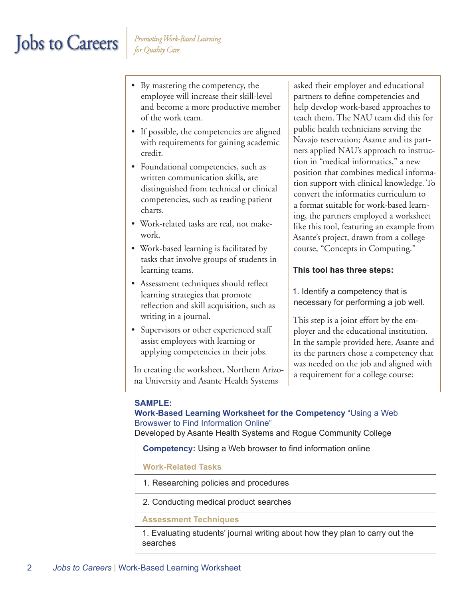- By mastering the competency, the employee will increase their skill-level and become a more productive member of the work team.
- If possible, the competencies are aligned with requirements for gaining academic credit.
- Foundational competencies, such as written communication skills, are distinguished from technical or clinical competencies, such as reading patient charts.
- Work-related tasks are real, not makework.
- Work-based learning is facilitated by tasks that involve groups of students in learning teams.
- Assessment techniques should reflect learning strategies that promote reflection and skill acquisition, such as writing in a journal.
- Supervisors or other experienced staff assist employees with learning or applying competencies in their jobs.

In creating the worksheet, Northern Arizona University and Asante Health Systems

asked their employer and educational partners to define competencies and help develop work-based approaches to teach them. The NAU team did this for public health technicians serving the Navajo reservation; Asante and its partners applied NAU's approach to instruction in "medical informatics," a new position that combines medical information support with clinical knowledge. To convert the informatics curriculum to a format suitable for work-based learning, the partners employed a worksheet like this tool, featuring an example from Asante's project, drawn from a college course, "Concepts in Computing."

### **This tool has three steps:**

1. Identify a competency that is necessary for performing a job well.

This step is a joint effort by the employer and the educational institution. In the sample provided here, Asante and its the partners chose a competency that was needed on the job and aligned with a requirement for a college course:

### **SAMPLE:**

#### **Work-Based Learning Worksheet for the Competency** "Using a Web Browswer to Find Information Online"

Developed by Asante Health Systems and Rogue Community College

|  | <b>Competency:</b> Using a Web browser to find information online |
|--|-------------------------------------------------------------------|
|--|-------------------------------------------------------------------|

### **Work-Related Tasks**

- 1. Researching policies and procedures
- 2. Conducting medical product searches

#### **Assessment Techniques**

1. Evaluating students' journal writing about how they plan to carry out the searches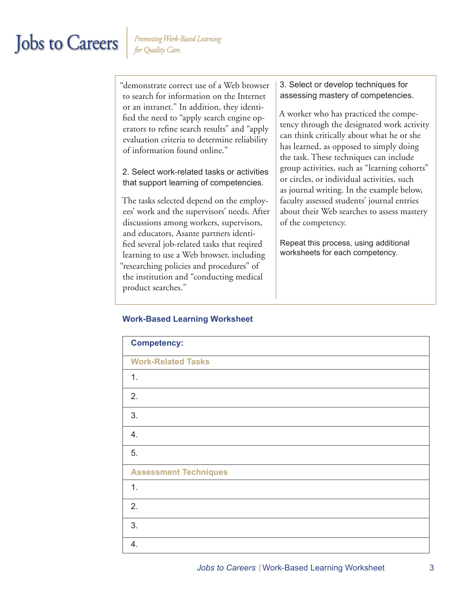"demonstrate correct use of a Web browser to search for information on the Internet or an intranet." In addition, they identified the need to "apply search engine operators to refine search results" and "apply evaluation criteria to determine reliability of information found online."

2. Select work-related tasks or activities that support learning of competencies.

The tasks selected depend on the employees' work and the supervisors' needs. After discussions among workers, supervisors, and educators, Asante partners identified several job-related tasks that reqired learning to use a Web browser, including "researching policies and procedures" of the institution and "conducting medical product searches."

3. Select or develop techniques for assessing mastery of competencies.

A worker who has practiced the competency through the designated work activity can think critically about what he or she has learned, as opposed to simply doing the task. These techniques can include group activities, such as "learning cohorts" or circles, or individual activities, such as journal writing. In the example below, faculty assessed students' journal entries about their Web searches to assess mastery of the competency.

Repeat this process, using additional worksheets for each competency.

### **Work-Based Learning Worksheet**

| <b>Competency:</b>           |
|------------------------------|
| <b>Work-Related Tasks</b>    |
| 1.                           |
| 2.                           |
| 3.                           |
| 4.                           |
| 5.                           |
| <b>Assessment Techniques</b> |
| 1.                           |
| 2.                           |
| 3.                           |
| 4.                           |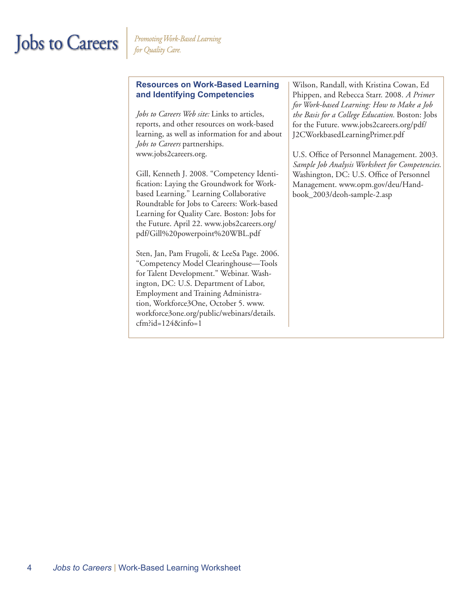### **Resources on Work-Based Learning and Identifying Competencies**

*Jobs to Careers Web site:* Links to articles, reports, and other resources on work-based learning, as well as information for and about *Jobs to Careers* partnerships. www.jobs2careers.org.

Gill, Kenneth J. 2008. "Competency Identification: Laying the Groundwork for Workbased Learning." Learning Collaborative Roundtable for Jobs to Careers: Work-based Learning for Quality Care. Boston: Jobs for the Future. April 22. www.jobs2careers.org/ pdf/Gill%20powerpoint%20WBL.pdf

Sten, Jan, Pam Frugoli, & LeeSa Page. 2006. "Competency Model Clearinghouse—Tools for Talent Development." Webinar. Washington, DC: U.S. Department of Labor, Employment and Training Administration, Workforce3One, October 5. www. workforce3one.org/public/webinars/details. cfm?id=124&info=1

Wilson, Randall, with Kristina Cowan, Ed Phippen, and Rebecca Starr. 2008. *A Primer for Work-based Learning: How to Make a Job the Basis for a College Education.* Boston: Jobs for the Future. www.jobs2careers.org/pdf/ J2CWorkbasedLearningPrimer.pdf

U.S. Office of Personnel Management. 2003. *Sample Job Analysis Worksheet for Competencies.* Washington, DC: U.S. Office of Personnel Management. www.opm.gov/deu/Handbook\_2003/deoh-sample-2.asp